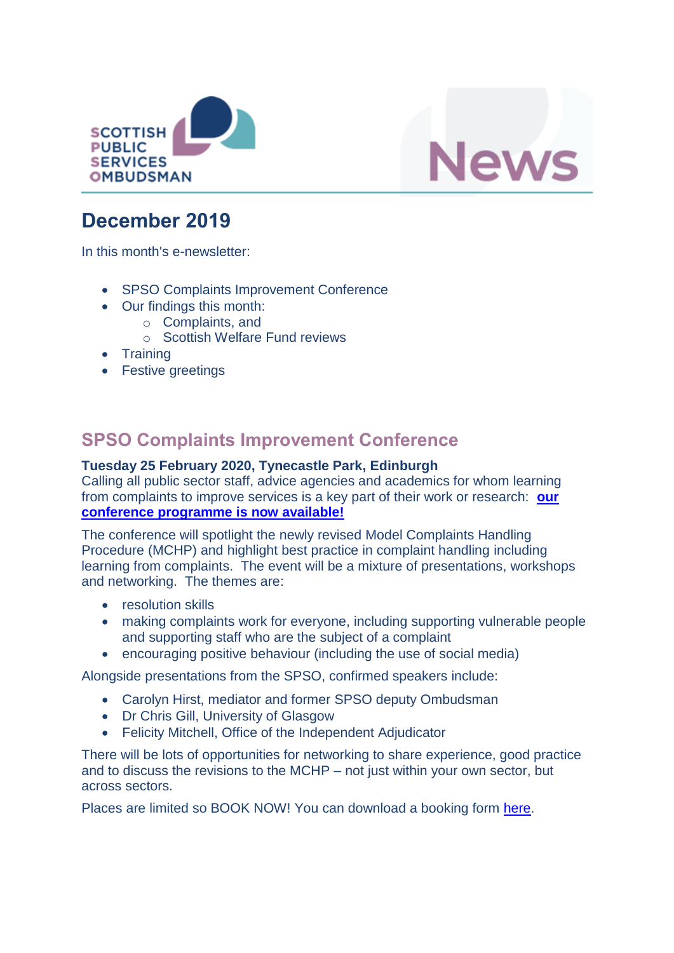



# **December 2019**

In this month's e-newsletter:

- SPSO Complaints Improvement Conference
- Our findings this month:
	- o Complaints, and
	- o Scottish Welfare Fund reviews
- Training
- Festive greetings

### **SPSO Complaints Improvement Conference**

#### **Tuesday 25 February 2020, Tynecastle Park, Edinburgh**

Calling all public sector staff, advice agencies and academics for whom learning from complaints to improve services is a key part of their work or research: **[our](https://www.valuingcomplaints.org.uk/learning-and-improvement/spso-conference/spso-complaints-improvement-conference-2020)  [conference programme is now available!](https://www.valuingcomplaints.org.uk/learning-and-improvement/spso-conference/spso-complaints-improvement-conference-2020)**

The conference will spotlight the newly revised Model Complaints Handling Procedure (MCHP) and highlight best practice in complaint handling including learning from complaints. The event will be a mixture of presentations, workshops and networking. The themes are:

- resolution skills
- making complaints work for everyone, including supporting vulnerable people and supporting staff who are the subject of a complaint
- encouraging positive behaviour (including the use of social media)

Alongside presentations from the SPSO, confirmed speakers include:

- Carolyn Hirst, mediator and former SPSO deputy Ombudsman
- Dr Chris Gill, University of Glasgow
- Felicity Mitchell, Office of the Independent Adjudicator

There will be lots of opportunities for networking to share experience, good practice and to discuss the revisions to the MCHP – not just within your own sector, but across sectors.

Places are limited so BOOK NOW! You can download a booking form [here.](https://www.valuingcomplaints.org.uk/learning-and-improvement/spso-conference/spso-complaints-improvement-conference-2020)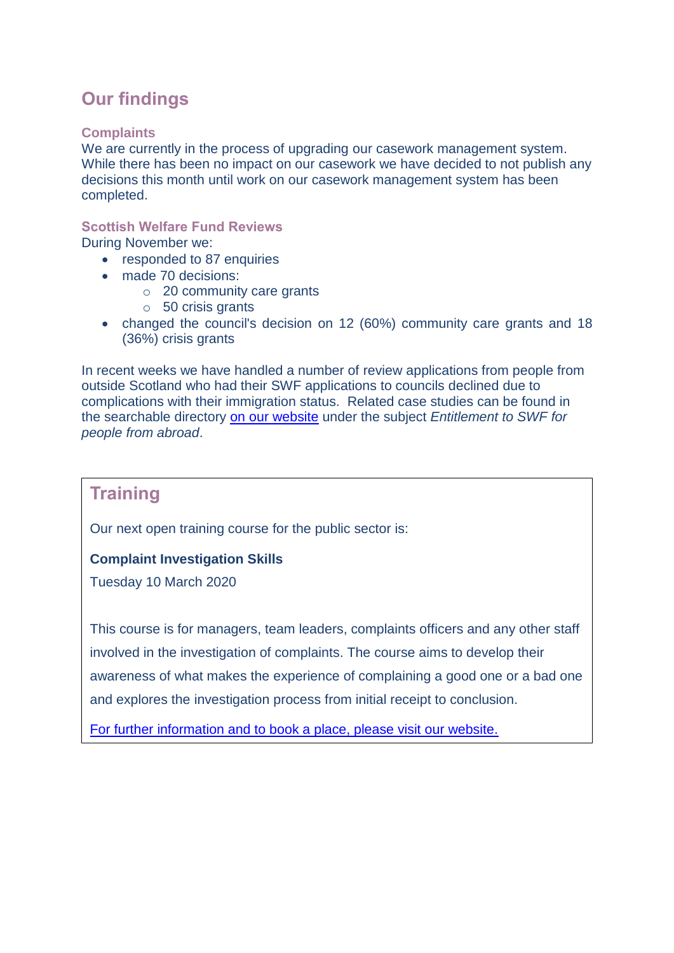## **Our findings**

#### **Complaints**

We are currently in the process of upgrading our casework management system. While there has been no impact on our casework we have decided to not publish any decisions this month until work on our casework management system has been completed.

### **Scottish Welfare Fund Reviews**

During November we:

- responded to 87 enquiries
- made 70 decisions:
	- o 20 community care grants
	- o 50 crisis grants
- changed the council's decision on 12 (60%) community care grants and 18 (36%) crisis grants

In recent weeks we have handled a number of review applications from people from outside Scotland who had their SWF applications to councils declined due to complications with their immigration status. Related case studies can be found in the searchable directory [on our website](https://www.spso.org.uk/scottishwelfarefund/case-summaries) under the subject *Entitlement to SWF for people from abroad*.

### **Training**

**Training**  Our next open training course for the public sector is:

#### For further information contact: **Complaint Investigation Skills**

Tuesday 10 March 2020

Tel: 0131 240 2990

This [course is for managers, team lead](mailto:communications@spso.gov.scot)ers, complaints officers and any other staff involved in the investigation of complaints. The course aims to develop their awareness of what makes the experience of complaining a good one or a bad one and [explores the investigation proc](http://www.spso.org.uk/contact-us)ess from initial receipt to conclusion.

[For furth](http://www.valuingcomplaints.org.uk/training/training-courses)[er information an](http://www.spso.org.uk/)d to book a place, please visit our website.